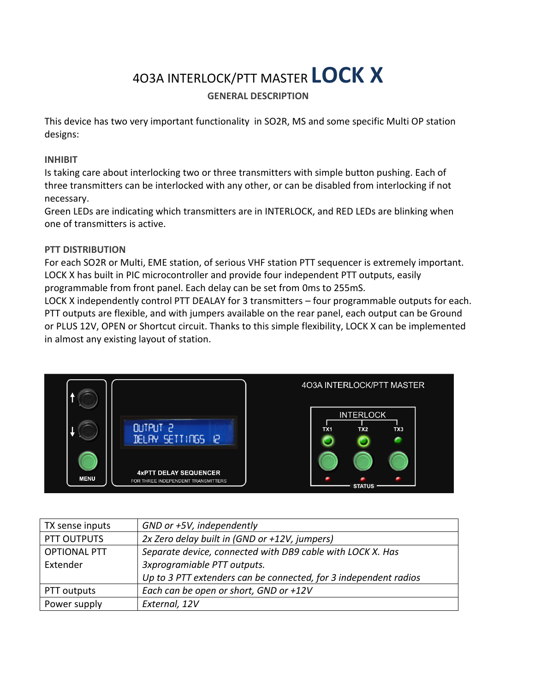# 4O3A INTERLOCK/PTT MASTER **LOCK X**

## **GENERAL DESCRIPTION**

This device has two very important functionality in SO2R, MS and some specific Multi OP station designs:

#### **INHIBIT**

Is taking care about interlocking two or three transmitters with simple button pushing. Each of three transmitters can be interlocked with any other, or can be disabled from interlocking if not necessary.

Green LEDs are indicating which transmitters are in INTERLOCK, and RED LEDs are blinking when one of transmitters is active.

#### **PTT DISTRIBUTION**

For each SO2R or Multi, EME station, of serious VHF station PTT sequencer is extremely important. LOCK X has built in PIC microcontroller and provide four independent PTT outputs, easily programmable from front panel. Each delay can be set from 0ms to 255mS.

LOCK X independently control PTT DEALAY for 3 transmitters – four programmable outputs for each. PTT outputs are flexible, and with jumpers available on the rear panel, each output can be Ground or PLUS 12V, OPEN or Shortcut circuit. Thanks to this simple flexibility, LOCK X can be implemented in almost any existing layout of station.



| TX sense inputs     | GND or +5V, independently                                        |
|---------------------|------------------------------------------------------------------|
| PTT OUTPUTS         | 2x Zero delay built in (GND or +12V, jumpers)                    |
| <b>OPTIONAL PTT</b> | Separate device, connected with DB9 cable with LOCK X. Has       |
| Extender            | 3xprogramiable PTT outputs.                                      |
|                     | Up to 3 PTT extenders can be connected, for 3 independent radios |
| PTT outputs         | Each can be open or short, GND or +12V                           |
| Power supply        | External, 12V                                                    |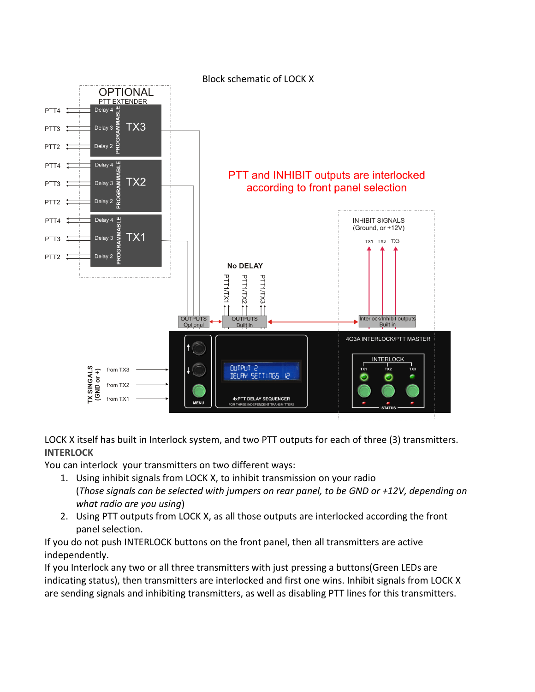

LOCK X itself has built in Interlock system, and two PTT outputs for each of three (3) transmitters. **INTERLOCK**

You can interlock your transmitters on two different ways:

- 1. Using inhibit signals from LOCK X, to inhibit transmission on your radio (*Those signals can be selected with jumpers on rear panel, to be GND or +12V, depending on what radio are you using*)
- 2. Using PTT outputs from LOCK X, as all those outputs are interlocked according the front panel selection.

If you do not push INTERLOCK buttons on the front panel, then all transmitters are active independently.

If you Interlock any two or all three transmitters with just pressing a buttons(Green LEDs are indicating status), then transmitters are interlocked and first one wins. Inhibit signals from LOCK X are sending signals and inhibiting transmitters, as well as disabling PTT lines for this transmitters.